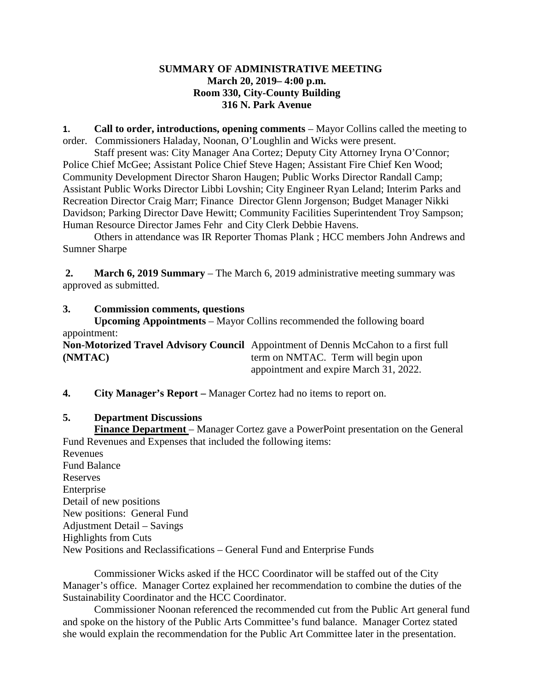## **SUMMARY OF ADMINISTRATIVE MEETING March 20, 2019– 4:00 p.m. Room 330, City-County Building 316 N. Park Avenue**

**1. Call to order, introductions, opening comments** – Mayor Collins called the meeting to order. Commissioners Haladay, Noonan, O'Loughlin and Wicks were present.

Staff present was: City Manager Ana Cortez; Deputy City Attorney Iryna O'Connor; Police Chief McGee; Assistant Police Chief Steve Hagen; Assistant Fire Chief Ken Wood; Community Development Director Sharon Haugen; Public Works Director Randall Camp; Assistant Public Works Director Libbi Lovshin; City Engineer Ryan Leland; Interim Parks and Recreation Director Craig Marr; Finance Director Glenn Jorgenson; Budget Manager Nikki Davidson; Parking Director Dave Hewitt; Community Facilities Superintendent Troy Sampson; Human Resource Director James Fehr and City Clerk Debbie Havens.

Others in attendance was IR Reporter Thomas Plank ; HCC members John Andrews and Sumner Sharpe

**2. March 6, 2019 Summary** – The March 6, 2019 administrative meeting summary was approved as submitted.

# **3. Commission comments, questions**

**Upcoming Appointments** – Mayor Collins recommended the following board appointment:

**Non-Motorized Travel Advisory Council** Appointment of Dennis McCahon to a first full **(NMTAC)** term on NMTAC. Term will begin upon appointment and expire March 31, 2022.

**4. City Manager's Report –** Manager Cortez had no items to report on.

### **5. Department Discussions**

**Finance Department** – Manager Cortez gave a PowerPoint presentation on the General Fund Revenues and Expenses that included the following items: Revenues Fund Balance Reserves Enterprise Detail of new positions New positions: General Fund Adjustment Detail – Savings

Highlights from Cuts

New Positions and Reclassifications – General Fund and Enterprise Funds

Commissioner Wicks asked if the HCC Coordinator will be staffed out of the City Manager's office. Manager Cortez explained her recommendation to combine the duties of the Sustainability Coordinator and the HCC Coordinator.

Commissioner Noonan referenced the recommended cut from the Public Art general fund and spoke on the history of the Public Arts Committee's fund balance. Manager Cortez stated she would explain the recommendation for the Public Art Committee later in the presentation.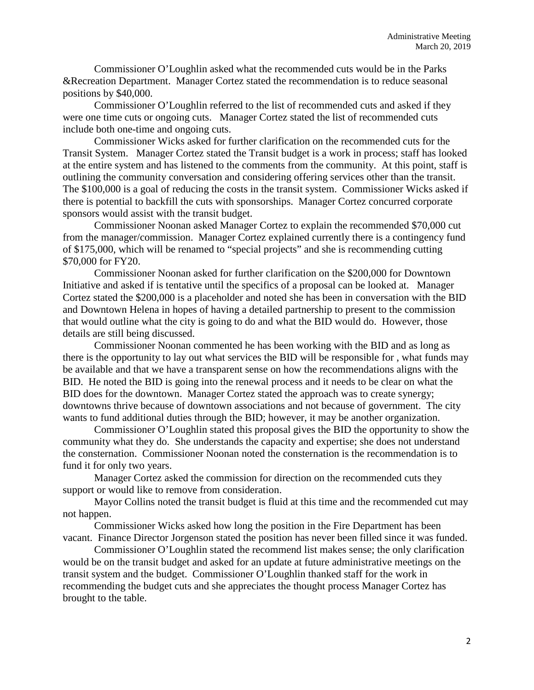Commissioner O'Loughlin asked what the recommended cuts would be in the Parks &Recreation Department. Manager Cortez stated the recommendation is to reduce seasonal positions by \$40,000.

Commissioner O'Loughlin referred to the list of recommended cuts and asked if they were one time cuts or ongoing cuts. Manager Cortez stated the list of recommended cuts include both one-time and ongoing cuts.

Commissioner Wicks asked for further clarification on the recommended cuts for the Transit System. Manager Cortez stated the Transit budget is a work in process; staff has looked at the entire system and has listened to the comments from the community. At this point, staff is outlining the community conversation and considering offering services other than the transit. The \$100,000 is a goal of reducing the costs in the transit system. Commissioner Wicks asked if there is potential to backfill the cuts with sponsorships. Manager Cortez concurred corporate sponsors would assist with the transit budget.

Commissioner Noonan asked Manager Cortez to explain the recommended \$70,000 cut from the manager/commission. Manager Cortez explained currently there is a contingency fund of \$175,000, which will be renamed to "special projects" and she is recommending cutting \$70,000 for FY20.

Commissioner Noonan asked for further clarification on the \$200,000 for Downtown Initiative and asked if is tentative until the specifics of a proposal can be looked at. Manager Cortez stated the \$200,000 is a placeholder and noted she has been in conversation with the BID and Downtown Helena in hopes of having a detailed partnership to present to the commission that would outline what the city is going to do and what the BID would do. However, those details are still being discussed.

Commissioner Noonan commented he has been working with the BID and as long as there is the opportunity to lay out what services the BID will be responsible for , what funds may be available and that we have a transparent sense on how the recommendations aligns with the BID. He noted the BID is going into the renewal process and it needs to be clear on what the BID does for the downtown. Manager Cortez stated the approach was to create synergy; downtowns thrive because of downtown associations and not because of government. The city wants to fund additional duties through the BID; however, it may be another organization.

Commissioner O'Loughlin stated this proposal gives the BID the opportunity to show the community what they do. She understands the capacity and expertise; she does not understand the consternation. Commissioner Noonan noted the consternation is the recommendation is to fund it for only two years.

Manager Cortez asked the commission for direction on the recommended cuts they support or would like to remove from consideration.

Mayor Collins noted the transit budget is fluid at this time and the recommended cut may not happen.

Commissioner Wicks asked how long the position in the Fire Department has been vacant. Finance Director Jorgenson stated the position has never been filled since it was funded.

Commissioner O'Loughlin stated the recommend list makes sense; the only clarification would be on the transit budget and asked for an update at future administrative meetings on the transit system and the budget. Commissioner O'Loughlin thanked staff for the work in recommending the budget cuts and she appreciates the thought process Manager Cortez has brought to the table.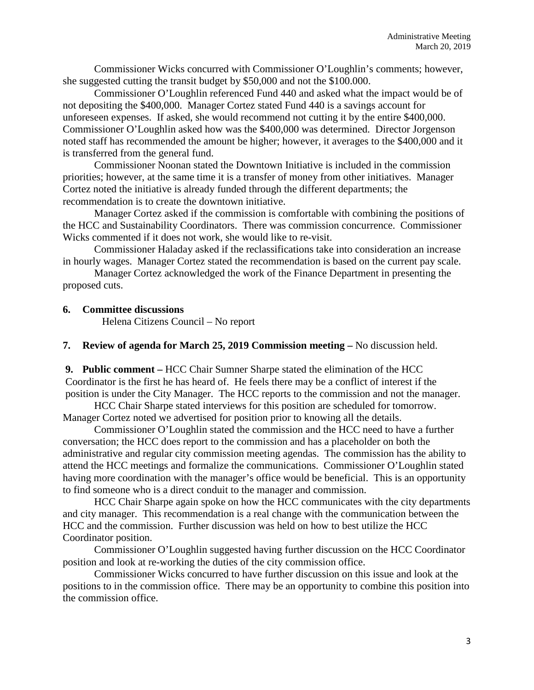Commissioner Wicks concurred with Commissioner O'Loughlin's comments; however, she suggested cutting the transit budget by \$50,000 and not the \$100.000.

Commissioner O'Loughlin referenced Fund 440 and asked what the impact would be of not depositing the \$400,000. Manager Cortez stated Fund 440 is a savings account for unforeseen expenses. If asked, she would recommend not cutting it by the entire \$400,000. Commissioner O'Loughlin asked how was the \$400,000 was determined. Director Jorgenson noted staff has recommended the amount be higher; however, it averages to the \$400,000 and it is transferred from the general fund.

Commissioner Noonan stated the Downtown Initiative is included in the commission priorities; however, at the same time it is a transfer of money from other initiatives. Manager Cortez noted the initiative is already funded through the different departments; the recommendation is to create the downtown initiative.

Manager Cortez asked if the commission is comfortable with combining the positions of the HCC and Sustainability Coordinators. There was commission concurrence. Commissioner Wicks commented if it does not work, she would like to re-visit.

Commissioner Haladay asked if the reclassifications take into consideration an increase in hourly wages. Manager Cortez stated the recommendation is based on the current pay scale.

Manager Cortez acknowledged the work of the Finance Department in presenting the proposed cuts.

#### **6. Committee discussions**

Helena Citizens Council – No report

**7. Review of agenda for March 25, 2019 Commission meeting –** No discussion held.

**9. Public comment –** HCC Chair Sumner Sharpe stated the elimination of the HCC Coordinator is the first he has heard of. He feels there may be a conflict of interest if the position is under the City Manager. The HCC reports to the commission and not the manager.

HCC Chair Sharpe stated interviews for this position are scheduled for tomorrow. Manager Cortez noted we advertised for position prior to knowing all the details.

Commissioner O'Loughlin stated the commission and the HCC need to have a further conversation; the HCC does report to the commission and has a placeholder on both the administrative and regular city commission meeting agendas. The commission has the ability to attend the HCC meetings and formalize the communications. Commissioner O'Loughlin stated having more coordination with the manager's office would be beneficial. This is an opportunity to find someone who is a direct conduit to the manager and commission.

HCC Chair Sharpe again spoke on how the HCC communicates with the city departments and city manager. This recommendation is a real change with the communication between the HCC and the commission. Further discussion was held on how to best utilize the HCC Coordinator position.

Commissioner O'Loughlin suggested having further discussion on the HCC Coordinator position and look at re-working the duties of the city commission office.

Commissioner Wicks concurred to have further discussion on this issue and look at the positions to in the commission office. There may be an opportunity to combine this position into the commission office.